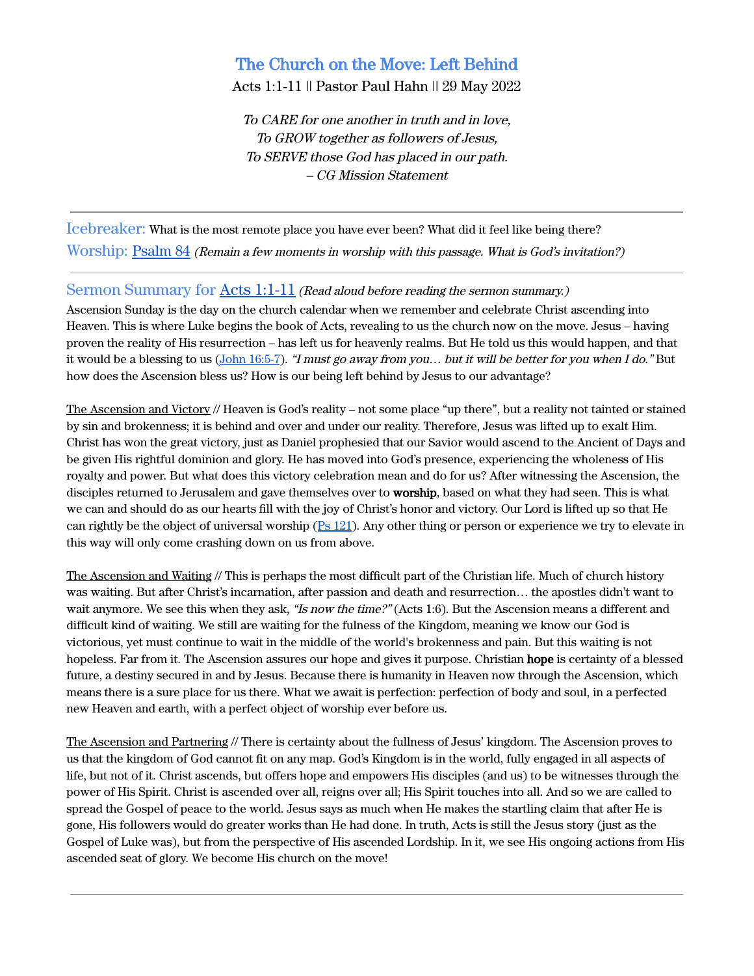# The Church on the Move: Left Behind

Acts 1:1-11 || Pastor Paul Hahn || 29 May 2022

To CARE for one another in truth and in love, To GROW together as followers of Jesus, To SERVE those God has placed in our path. – CG Mission Statement

Icebreaker: What is the most remote place you have ever been? What did it feel like being there? Worship: [Psalm 84](https://www.biblegateway.com/passage/?search=Psalm+84&version=ESV) (Remain <sup>a</sup> few moments in worship with this passage. What is God's invitation?)

### Sermon Summary for Acts [1:1-11](https://www.biblegateway.com/passage/?search=Acts+1%3A1-11&version=ESV) (Read aloud before reading the sermon summary.)

Ascension Sunday is the day on the church calendar when we remember and celebrate Christ ascending into Heaven. This is where Luke begins the book of Acts, revealing to us the church now on the move. Jesus – having proven the reality of His resurrection – has left us for heavenly realms. But He told us this would happen, and that it would be a blessing to us (John [16:5-7](https://www.biblegateway.com/passage/?search=John+16%3A5-7&version=ESV)). "I must go away from you... but it will be better for you when I do." But how does the Ascension bless us? How is our being left behind by Jesus to our advantage?

The Ascension and Victory // Heaven is God's reality – not some place "up there", but a reality not tainted or stained by sin and brokenness; it is behind and over and under our reality. Therefore, Jesus was lifted up to exalt Him. Christ has won the great victory, just as Daniel prophesied that our Savior would ascend to the Ancient of Days and be given His rightful dominion and glory. He has moved into God's presence, experiencing the wholeness of His royalty and power. But what does this victory celebration mean and do for us? After witnessing the Ascension, the disciples returned to Jerusalem and gave themselves over to **worship**, based on what they had seen. This is what we can and should do as our hearts fill with the joy of Christ's honor and victory. Our Lord is lifted up so that He can rightly be the object of universal worship (Ps [121\)](https://www.biblegateway.com/passage/?search=Psalm+121&version=ESV). Any other thing or person or experience we try to elevate in this way will only come crashing down on us from above.

The Ascension and Waiting // This is perhaps the most difficult part of the Christian life. Much of church history was waiting. But after Christ's incarnation, after passion and death and resurrection… the apostles didn't want to wait anymore. We see this when they ask, "Is now the time?" (Acts 1:6). But the Ascension means a different and difficult kind of waiting. We still are waiting for the fulness of the Kingdom, meaning we know our God is victorious, yet must continue to wait in the middle of the world's brokenness and pain. But this waiting is not hopeless. Far from it. The Ascension assures our hope and gives it purpose. Christian hope is certainty of a blessed future, a destiny secured in and by Jesus. Because there is humanity in Heaven now through the Ascension, which means there is a sure place for us there. What we await is perfection: perfection of body and soul, in a perfected new Heaven and earth, with a perfect object of worship ever before us.

The Ascension and Partnering // There is certainty about the fullness of Jesus' kingdom. The Ascension proves to us that the kingdom of God cannot fit on any map. God's Kingdom is in the world, fully engaged in all aspects of life, but not of it. Christ ascends, but offers hope and empowers His disciples (and us) to be witnesses through the power of His Spirit. Christ is ascended over all, reigns over all; His Spirit touches into all. And so we are called to spread the Gospel of peace to the world. Jesus says as much when He makes the startling claim that after He is gone, His followers would do greater works than He had done. In truth, Acts is still the Jesus story (just as the Gospel of Luke was), but from the perspective of His ascended Lordship. In it, we see His ongoing actions from His ascended seat of glory. We become His church on the move!